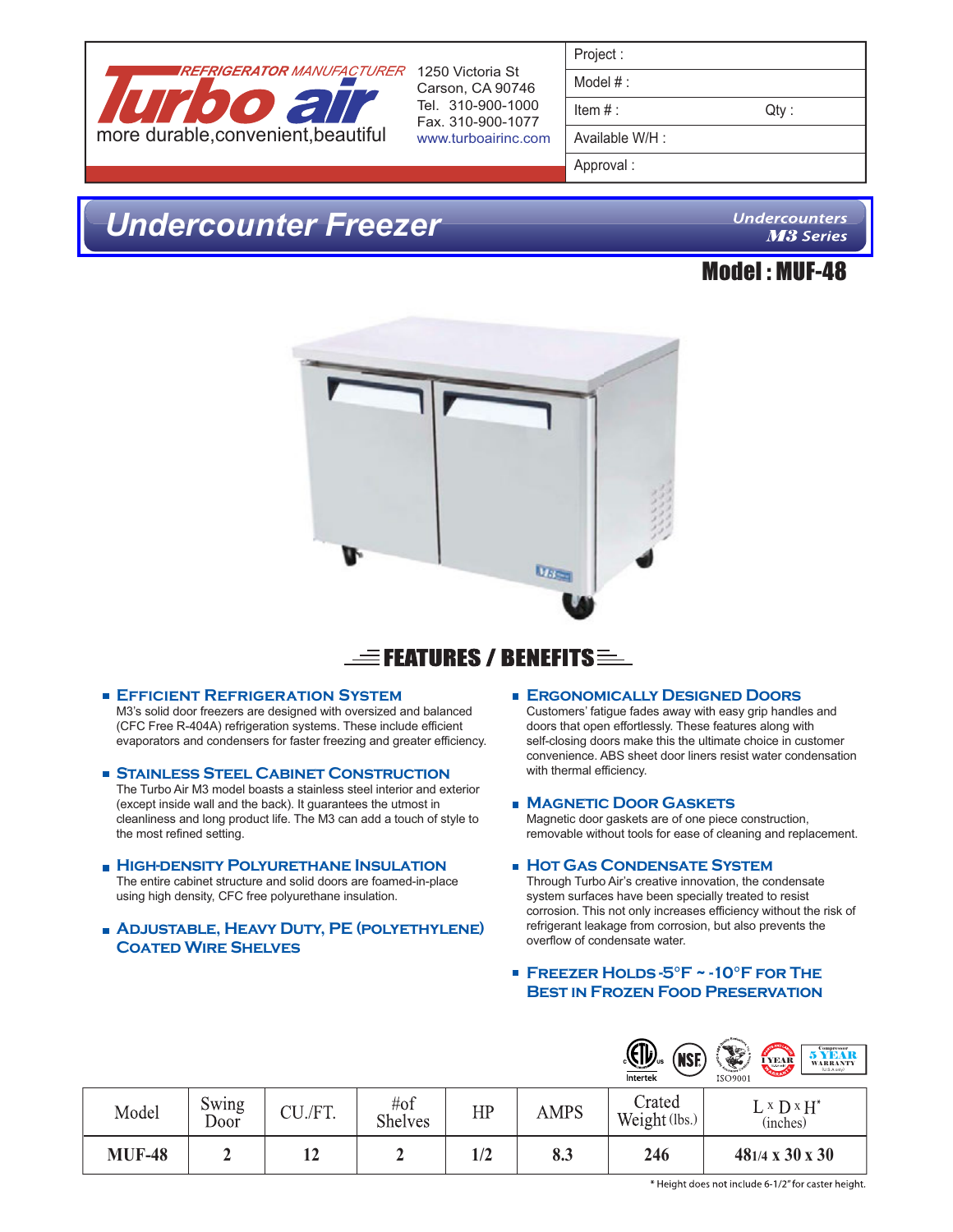

Carson, CA 90746 Tel. 310-900-1000 Fax. 310-900-1077 www.turboairinc.com

| Project: |  |
|----------|--|
|----------|--|

Model # :

 $Item #:$  Qty :

Available W/H :

Approval :

## *[Undercounter Freezer](www.centralrestaurant.com)*

**Undercounters M3 Series** 





## $\equiv$  Features / Benefits  $\equiv$

#### **Efficient Refrigeration System**

M3's solid door freezers are designed with oversized and balanced (CFC Free R-404A) refrigeration systems. These include efficient evaporators and condensers for faster freezing and greater efficiency.

**Stainless Steel Cabinet Construction**

The Turbo Air M3 model boasts a stainless steel interior and exterior (except inside wall and the back). It guarantees the utmost in cleanliness and long product life. The M3 can add a touch of style to the most refined setting.

#### **HIGH-DENSITY POLYURETHANE INSULATION** The entire cabinet structure and solid doors are foamed-in-place using high density, CFC free polyurethane insulation.

#### **Adjustable, Heavy Duty, PE (polyethylene) Coated Wire Shelves**

#### **Ergonomically Designed Doors**

Customers' fatigue fades away with easy grip handles and doors that open effortlessly. These features along with self-closing doors make this the ultimate choice in customer convenience. ABS sheet door liners resist water condensation with thermal efficiency.

#### **Magnetic Door Gaskets**

Magnetic door gaskets are of one piece construction, removable without tools for ease of cleaning and replacement.

#### **HOT GAS CONDENSATE SYSTEM**

Through Turbo Air's creative innovation, the condensate system surfaces have been specially treated to resist corrosion. This not only increases efficiency without the risk of refrigerant leakage from corrosion, but also prevents the overflow of condensate water.

#### **Freezer Holds -5°F ~ -10°F for The Best in Frozen Food Preservation**

|               |               |         |                           |     |             | <u>(EID</u> <sub>us</sub><br>(NSE)<br><b>Intertek</b> | <b>5 YEAR</b><br>I YEAR<br><b>WARRANTY</b><br>(U.S.A. only)<br>ISO9001 |
|---------------|---------------|---------|---------------------------|-----|-------------|-------------------------------------------------------|------------------------------------------------------------------------|
| Model         | Swing<br>Door | CU./FT. | $\#$ of<br><b>Shelves</b> | HP  | <b>AMPS</b> | Crated<br>Weight (lbs.)                               | $L \times D \times H^*$<br>(inches)                                    |
| <b>MUF-48</b> | ∸             | 12      | ∠                         | 1/2 | 8.3         | 246                                                   | $481/4 \times 30 \times 30$                                            |

\* Height does not include 6-1/2" for caster height.